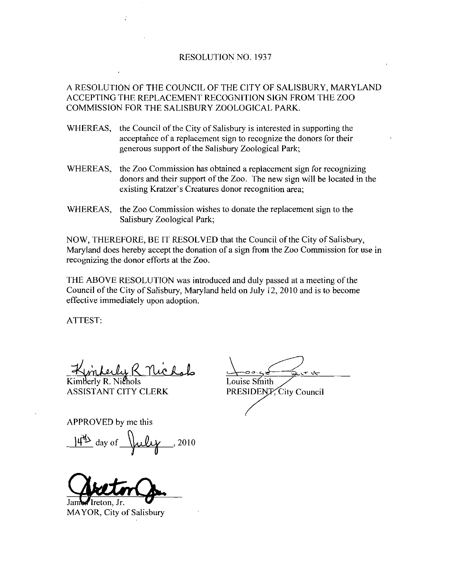## RESOLUTION NO. 1937

A RESOLUTION OF THE COUNCIL OF THE CITY OF SALISBURY MARYLAND ACCEPTING THE REPLACEMENT RECOGNITION SIGN FROM THE ZOO COMMISSION FOR THE SALISBURY ZOOLOGICAL PARK

- WHEREAS, the Council of the City of Salisbury is interested in supporting the acceptance of <sup>a</sup> replacement sign to recognize the donors for their generous support of the Salisbury Zoological Park
- WHEREAS, the Zoo Commission has obtained a replacement sign for recognizing donors and their support of the Zoo. The new sign will be located in the acceptance of a replacement sign to recognize the d<br>generous support of the Salisbury Zoological Park;<br>the Zoo Commission has obtained a replacement sig<br>donors and their support of the Zoo. The new sign<br>existing Kratzer's
- WHEREAS, the Zoo Commission wishes to donate the replacement sign to the Salisbury Zoological Park

WHEREAS, the Zoo Commission wishes to donate the replacement sign to the<br>Salisbury Zoological Park;<br>NOW, THEREFORE, BE IT RESOLVED that the Council of the City of Salisbury,<br>Maryland does hereby accept the donation of a si recognizing the donor efforts at the Zoo

THE ABOVE RESOLUTION was introduced and duly passed at ameeting of the Council of the City of Salisbury, Maryland held on July 12, 2010 and is to become effective immediately upon adoption

ATTEST

Kimberly R. Michale<br>Kimberly R. Nichols<br>ASSISTANT CITY CLERK PRESIDENT

ASSISTANT CITY CLERK PRESIDENT, City Council

APPROVED by methis

ANT CITY CLERK<br>VED by me this<br>day of  $\sqrt{\mu \ell \gamma}$ , 2010

James Ireton, Jr.

MAYOR, City of Salisbury